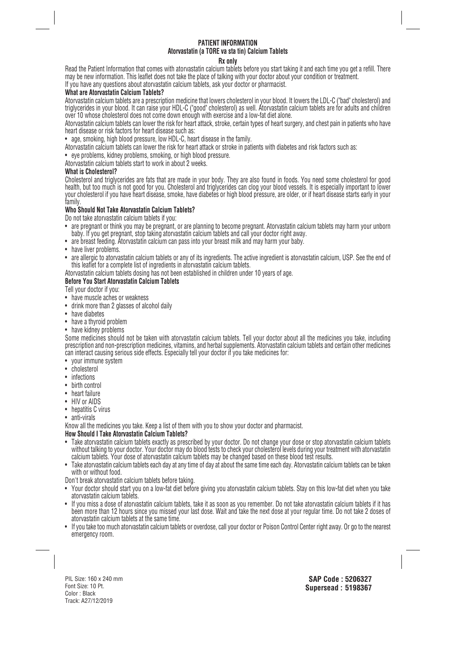# **PATIENT INFORMATION Atorvastatin (a TORE va sta tin) Calcium Tablets**

#### **Rx only**

Read the Patient Information that comes with atorvastatin calcium tablets before you start taking it and each time you get a refill. There may be new information. This leaflet does not take the place of talking with your doctor about your condition or treatment. If you have any questions about atorvastatin calcium tablets, ask your doctor or pharmacist.

# **What are Atorvastatin Calcium Tablets?**

Atorvastatin calcium tablets are a prescription medicine that lowers cholesterol in your blood. It lowers the LDL-C ("bad" cholesterol) and triglycerides in your blood. It can raise your HDL-C ("good" cholesterol) as well. Atorvastatin calcium tablets are for adults and children over 10 whose cholesterol does not come down enough with exercise and a low-fat diet alone.

Atorvastatin calcium tablets can lower the risk for heart attack, stroke, certain types of heart surgery, and chest pain in patients who have heart disease or risk factors for heart disease such as:

• age, smoking, high blood pressure, low HDL-C, heart disease in the family.

Atorvastatin calcium tablets can lower the risk for heart attack or stroke in patients with diabetes and risk factors such as:

• eye problems, kidney problems, smoking, or high blood pressure.

Atorvastatin calcium tablets start to work in about 2 weeks.

#### **What is Cholesterol?**

Cholesterol and triglycerides are fats that are made in your body. They are also found in foods. You need some cholesterol for good health, but too much is not good for you. Cholesterol and triglycerides can clog your blood vessels. It is especially important to lower your cholesterol if you have heart disease, smoke, have diabetes or high blood pressure, are older, or if heart disease starts early in your family.

### **Who Should Not Take Atorvastatin Calcium Tablets?**

Do not take atorvastatin calcium tablets if you:

- are pregnant or think you may be pregnant, or are planning to become pregnant. Atorvastatin calcium tablets may harm your unborn baby. If you get pregnant, stop taking atorvastatin calcium tablets and call your doctor right away.
- are breast feeding. Atorvastatin calcium can pass into your breast milk and may harm your baby.
- have liver problems.
- are allergic to atorvastatin calcium tablets or any of its ingredients. The active ingredient is atorvastatin calcium, USP. See the end of this leaflet for a complete list of ingredients in atorvastatin calcium tablets.

Atorvastatin calcium tablets dosing has not been established in children under 10 years of age.

## **Before You Start Atorvastatin Calcium Tablets**

Tell your doctor if you:

- have muscle aches or weakness
- drink more than 2 glasses of alcohol daily
- have diabetes
- have a thyroid problem
- have kidney problems

Some medicines should not be taken with atorvastatin calcium tablets. Tell your doctor about all the medicines you take, including prescription and non-prescription medicines, vitamins, and herbal supplements. Atorvastatin calcium tablets and certain other medicines can interact causing serious side effects. Especially tell your doctor if you take medicines for:

- your immune system
- cholesterol
- infections
- birth control
- heart failure
- HIV or AIDS
- hepatitis C virus
- anti-virals

Know all the medicines you take. Keep a list of them with you to show your doctor and pharmacist.

# **How Should I Take Atorvastatin Calcium Tablets?**

- Take atorvastatin calcium tablets exactly as prescribed by your doctor. Do not change your dose or stop atorvastatin calcium tablets without talking to your doctor. Your doctor may do blood tests to check your cholesterol levels during your treatment with atorvastatin calcium tablets. Your dose of atorvastatin calcium tablets may be changed based on these blood test results.
- Take atorvastatin calcium tablets each day at any time of day at about the same time each day. Atorvastatin calcium tablets can be taken with or without food.
- Don't break atorvastatin calcium tablets before taking.
- Your doctor should start you on a low-fat diet before giving you atorvastatin calcium tablets. Stay on this low-fat diet when you take atorvastatin calcium tablets.
- If you miss a dose of atorvastatin calcium tablets, take it as soon as you remember. Do not take atorvastatin calcium tablets if it has been more than 12 hours since you missed your last dose. Wait and take the next dose at your regular time. Do not take 2 doses of atorvastatin calcium tablets at the same time.
- If you take too much atorvastatin calcium tablets or overdose, call your doctor or Poison Control Center right away. Or go to the nearest emergency room.

PIL Size: 160 x 240 mm Font Size: 10 Pt. Color : Black Track: A27/12/2019

**SAP Code : 5206327 Supersead : 5198367**